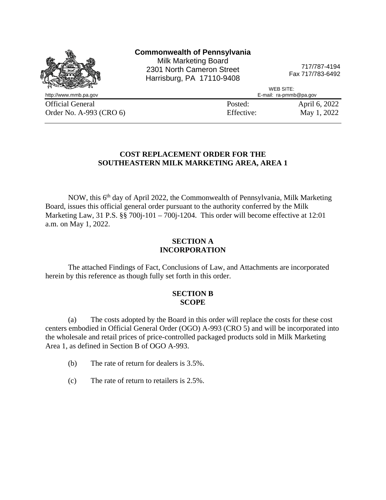|                         | <b>Commonwealth of Pennsylvania</b><br><b>Milk Marketing Board</b><br>2301 North Cameron Street<br>Harrisburg, PA 17110-9408 | 717/787-4194<br>Fax 717/783-6492    |
|-------------------------|------------------------------------------------------------------------------------------------------------------------------|-------------------------------------|
| http://www.mmb.pa.gov   |                                                                                                                              | WEB SITE:<br>E-mail: ra-pmmb@pa.gov |
| <b>Official General</b> | Posted:                                                                                                                      | April 6, 2022                       |
| Order No. A-993 (CRO 6) | Effective:                                                                                                                   | May 1, 2022                         |

#### **COST REPLACEMENT ORDER FOR THE SOUTHEASTERN MILK MARKETING AREA, AREA 1**

NOW, this 6<sup>th</sup> day of April 2022, the Commonwealth of Pennsylvania, Milk Marketing Board, issues this official general order pursuant to the authority conferred by the Milk Marketing Law, 31 P.S.  $\S$  $\S$  700j-101 – 700j-1204. This order will become effective at 12:01 a.m. on May 1, 2022.

#### **SECTION A INCORPORATION**

The attached Findings of Fact, Conclusions of Law, and Attachments are incorporated herein by this reference as though fully set forth in this order.

## **SECTION B SCOPE**

(a) The costs adopted by the Board in this order will replace the costs for these cost centers embodied in Official General Order (OGO) A-993 (CRO 5) and will be incorporated into the wholesale and retail prices of price-controlled packaged products sold in Milk Marketing Area 1, as defined in Section B of OGO A-993.

- (b) The rate of return for dealers is 3.5%.
- (c) The rate of return to retailers is 2.5%.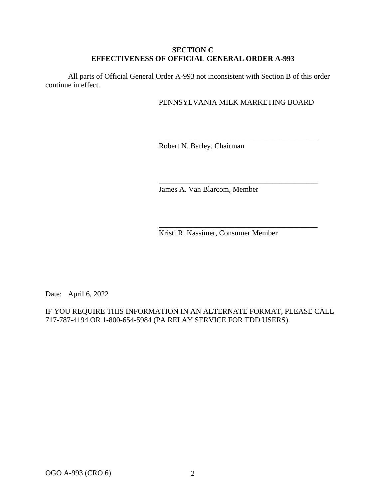#### **SECTION C EFFECTIVENESS OF OFFICIAL GENERAL ORDER A-993**

All parts of Official General Order A-993 not inconsistent with Section B of this order continue in effect.

### PENNSYLVANIA MILK MARKETING BOARD

\_\_\_\_\_\_\_\_\_\_\_\_\_\_\_\_\_\_\_\_\_\_\_\_\_\_\_\_\_\_\_\_\_\_\_\_\_\_\_\_\_\_

\_\_\_\_\_\_\_\_\_\_\_\_\_\_\_\_\_\_\_\_\_\_\_\_\_\_\_\_\_\_\_\_\_\_\_\_\_\_\_\_\_\_

\_\_\_\_\_\_\_\_\_\_\_\_\_\_\_\_\_\_\_\_\_\_\_\_\_\_\_\_\_\_\_\_\_\_\_\_\_\_\_\_\_\_

Robert N. Barley, Chairman

James A. Van Blarcom, Member

Kristi R. Kassimer, Consumer Member

Date: April 6, 2022

IF YOU REQUIRE THIS INFORMATION IN AN ALTERNATE FORMAT, PLEASE CALL 717-787-4194 OR 1-800-654-5984 (PA RELAY SERVICE FOR TDD USERS).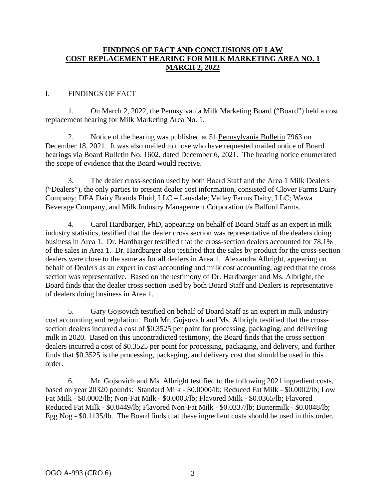### **FINDINGS OF FACT AND CONCLUSIONS OF LAW COST REPLACEMENT HEARING FOR MILK MARKETING AREA NO. 1 MARCH 2, 2022**

#### I. FINDINGS OF FACT

1. On March 2, 2022, the Pennsylvania Milk Marketing Board ("Board") held a cost replacement hearing for Milk Marketing Area No. 1.

2. Notice of the hearing was published at 51 Pennsylvania Bulletin 7963 on December 18, 2021. It was also mailed to those who have requested mailed notice of Board hearings via Board Bulletin No. 1602, dated December 6, 2021. The hearing notice enumerated the scope of evidence that the Board would receive.

3. The dealer cross-section used by both Board Staff and the Area 1 Milk Dealers ("Dealers"), the only parties to present dealer cost information, consisted of Clover Farms Dairy Company; DFA Dairy Brands Fluid, LLC – Lansdale; Valley Farms Dairy, LLC; Wawa Beverage Company, and Milk Industry Management Corporation t/a Balford Farms.

4. Carol Hardbarger, PhD, appearing on behalf of Board Staff as an expert in milk industry statistics, testified that the dealer cross section was representative of the dealers doing business in Area 1. Dr. Hardbarger testified that the cross-section dealers accounted for 78.1% of the sales in Area 1. Dr. Hardbarger also testified that the sales by product for the cross-section dealers were close to the same as for all dealers in Area 1. Alexandra Albright, appearing on behalf of Dealers as an expert in cost accounting and milk cost accounting, agreed that the cross section was representative. Based on the testimony of Dr. Hardbarger and Ms. Albright, the Board finds that the dealer cross section used by both Board Staff and Dealers is representative of dealers doing business in Area 1.

5. Gary Gojsovich testified on behalf of Board Staff as an expert in milk industry cost accounting and regulation. Both Mr. Gojsovich and Ms. Albright testified that the crosssection dealers incurred a cost of \$0.3525 per point for processing, packaging, and delivering milk in 2020. Based on this uncontradicted testimony, the Board finds that the cross section dealers incurred a cost of \$0.3525 per point for processing, packaging, and delivery, and further finds that \$0.3525 is the processing, packaging, and delivery cost that should be used in this order.

6. Mr. Gojsovich and Ms. Albright testified to the following 2021 ingredient costs, based on year 20320 pounds: Standard Milk - \$0.0000/lb; Reduced Fat Milk - \$0.0002/lb; Low Fat Milk - \$0.0002/lb; Non-Fat Milk - \$0.0003/lb; Flavored Milk - \$0.0365/lb; Flavored Reduced Fat Milk - \$0.0449/lb; Flavored Non-Fat Milk - \$0.0337/lb; Buttermilk - \$0.0048/lb; Egg Nog - \$0.1135/lb. The Board finds that these ingredient costs should be used in this order.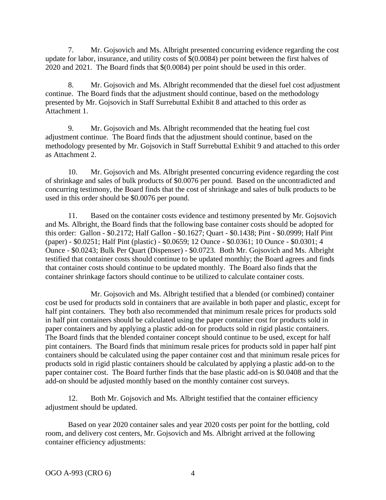7. Mr. Gojsovich and Ms. Albright presented concurring evidence regarding the cost update for labor, insurance, and utility costs of \$(0.0084) per point between the first halves of 2020 and 2021. The Board finds that \$(0.0084) per point should be used in this order.

8. Mr. Gojsovich and Ms. Albright recommended that the diesel fuel cost adjustment continue. The Board finds that the adjustment should continue, based on the methodology presented by Mr. Gojsovich in Staff Surrebuttal Exhibit 8 and attached to this order as Attachment 1.

9. Mr. Gojsovich and Ms. Albright recommended that the heating fuel cost adjustment continue. The Board finds that the adjustment should continue, based on the methodology presented by Mr. Gojsovich in Staff Surrebuttal Exhibit 9 and attached to this order as Attachment 2.

10. Mr. Gojsovich and Ms. Albright presented concurring evidence regarding the cost of shrinkage and sales of bulk products of \$0.0076 per pound. Based on the uncontradicted and concurring testimony, the Board finds that the cost of shrinkage and sales of bulk products to be used in this order should be \$0.0076 per pound.

11. Based on the container costs evidence and testimony presented by Mr. Gojsovich and Ms. Albright, the Board finds that the following base container costs should be adopted for this order: Gallon - \$0.2172; Half Gallon - \$0.1627; Quart - \$0.1438; Pint - \$0.0999; Half Pint (paper) - \$0.0251; Half Pint (plastic) - \$0.0659; 12 Ounce - \$0.0361; 10 Ounce - \$0.0301; 4 Ounce - \$0.0243; Bulk Per Quart (Dispenser) - \$0.0723. Both Mr. Gojsovich and Ms. Albright testified that container costs should continue to be updated monthly; the Board agrees and finds that container costs should continue to be updated monthly. The Board also finds that the container shrinkage factors should continue to be utilized to calculate container costs.

Mr. Gojsovich and Ms. Albright testified that a blended (or combined) container cost be used for products sold in containers that are available in both paper and plastic, except for half pint containers. They both also recommended that minimum resale prices for products sold in half pint containers should be calculated using the paper container cost for products sold in paper containers and by applying a plastic add-on for products sold in rigid plastic containers. The Board finds that the blended container concept should continue to be used, except for half pint containers. The Board finds that minimum resale prices for products sold in paper half pint containers should be calculated using the paper container cost and that minimum resale prices for products sold in rigid plastic containers should be calculated by applying a plastic add-on to the paper container cost. The Board further finds that the base plastic add-on is \$0.0408 and that the add-on should be adjusted monthly based on the monthly container cost surveys.

12. Both Mr. Gojsovich and Ms. Albright testified that the container efficiency adjustment should be updated.

Based on year 2020 container sales and year 2020 costs per point for the bottling, cold room, and delivery cost centers, Mr. Gojsovich and Ms. Albright arrived at the following container efficiency adjustments: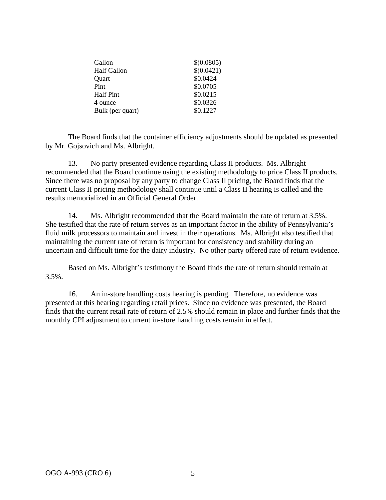| Gallon             | \$(0.0805) |
|--------------------|------------|
| <b>Half Gallon</b> | \$(0.0421) |
| Quart              | \$0.0424   |
| Pint               | \$0.0705   |
| <b>Half Pint</b>   | \$0.0215   |
| 4 ounce            | \$0.0326   |
| Bulk (per quart)   | \$0.1227   |

The Board finds that the container efficiency adjustments should be updated as presented by Mr. Gojsovich and Ms. Albright.

13. No party presented evidence regarding Class II products. Ms. Albright recommended that the Board continue using the existing methodology to price Class II products. Since there was no proposal by any party to change Class II pricing, the Board finds that the current Class II pricing methodology shall continue until a Class II hearing is called and the results memorialized in an Official General Order.

14. Ms. Albright recommended that the Board maintain the rate of return at 3.5%. She testified that the rate of return serves as an important factor in the ability of Pennsylvania's fluid milk processors to maintain and invest in their operations. Ms. Albright also testified that maintaining the current rate of return is important for consistency and stability during an uncertain and difficult time for the dairy industry. No other party offered rate of return evidence.

Based on Ms. Albright's testimony the Board finds the rate of return should remain at 3.5%.

16. An in-store handling costs hearing is pending. Therefore, no evidence was presented at this hearing regarding retail prices. Since no evidence was presented, the Board finds that the current retail rate of return of 2.5% should remain in place and further finds that the monthly CPI adjustment to current in-store handling costs remain in effect.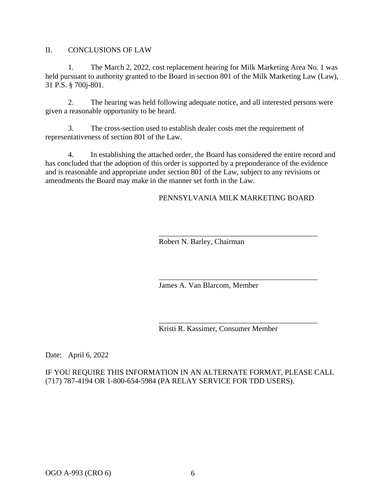II. CONCLUSIONS OF LAW

1. The March 2, 2022, cost replacement hearing for Milk Marketing Area No. 1 was held pursuant to authority granted to the Board in section 801 of the Milk Marketing Law (Law), 31 P.S. § 700j-801.

2. The hearing was held following adequate notice, and all interested persons were given a reasonable opportunity to be heard.

3. The cross-section used to establish dealer costs met the requirement of representativeness of section 801 of the Law.

4. In establishing the attached order, the Board has considered the entire record and has concluded that the adoption of this order is supported by a preponderance of the evidence and is reasonable and appropriate under section 801 of the Law, subject to any revisions or amendments the Board may make in the manner set forth in the Law.

PENNSYLVANIA MILK MARKETING BOARD

\_\_\_\_\_\_\_\_\_\_\_\_\_\_\_\_\_\_\_\_\_\_\_\_\_\_\_\_\_\_\_\_\_\_\_\_\_\_\_\_\_\_

\_\_\_\_\_\_\_\_\_\_\_\_\_\_\_\_\_\_\_\_\_\_\_\_\_\_\_\_\_\_\_\_\_\_\_\_\_\_\_\_\_\_

\_\_\_\_\_\_\_\_\_\_\_\_\_\_\_\_\_\_\_\_\_\_\_\_\_\_\_\_\_\_\_\_\_\_\_\_\_\_\_\_\_\_

Robert N. Barley, Chairman

James A. Van Blarcom, Member

Kristi R. Kassimer, Consumer Member

Date: April 6, 2022

IF YOU REQUIRE THIS INFORMATION IN AN ALTERNATE FORMAT, PLEASE CALL (717) 787-4194 OR 1-800-654-5984 (PA RELAY SERVICE FOR TDD USERS).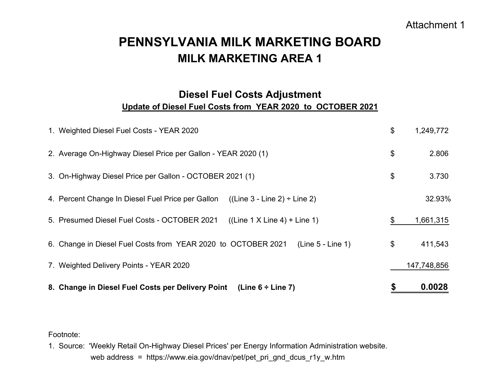# **Update of Diesel Fuel Costs from YEAR 2020 to OCTOBER 2021 Diesel Fuel Costs Adjustment**

| 8. Change in Diesel Fuel Costs per Delivery Point (Line $6 \div$ Line 7)               | \$<br>0.0028    |
|----------------------------------------------------------------------------------------|-----------------|
| 7. Weighted Delivery Points - YEAR 2020                                                | 147,748,856     |
| 6. Change in Diesel Fuel Costs from YEAR 2020 to OCTOBER 2021<br>$(Line 5 - Line 1)$   | \$<br>411,543   |
| 5. Presumed Diesel Fuel Costs - OCTOBER 2021<br>$((Line 1 X Line 4) + Line 1)$         | \$<br>1,661,315 |
| $((Line 3 - Line 2) \div Line 2)$<br>4. Percent Change In Diesel Fuel Price per Gallon | 32.93%          |
| 3. On-Highway Diesel Price per Gallon - OCTOBER 2021 (1)                               | \$<br>3.730     |
| 2. Average On-Highway Diesel Price per Gallon - YEAR 2020 (1)                          | \$<br>2.806     |
| 1. Weighted Diesel Fuel Costs - YEAR 2020                                              | \$<br>1,249,772 |

Footnote:

1. Source: 'Weekly Retail On-Highway Diesel Prices' per Energy Information Administration website. web address = https://www.eia.gov/dnav/pet/pet\_pri\_gnd\_dcus\_r1y\_w.htm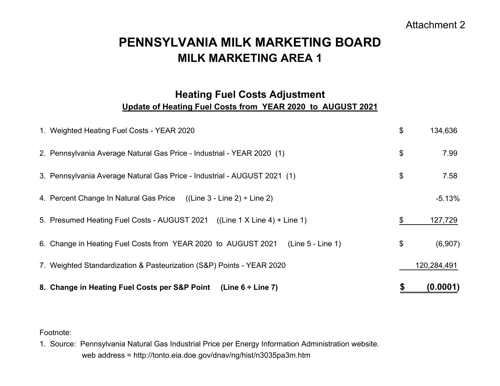# **Update of Heating Fuel Costs from YEAR 2020 to AUGUST 2021 Heating Fuel Costs Adjustment**

| 8. Change in Heating Fuel Costs per S&P Point<br>(Line $6 \div$ Line 7)              | (0.0001)      |
|--------------------------------------------------------------------------------------|---------------|
| 7. Weighted Standardization & Pasteurization (S&P) Points - YEAR 2020                | 120,284,491   |
| 6. Change in Heating Fuel Costs from YEAR 2020 to AUGUST 2021<br>$(Line 5 - Line 1)$ | \$<br>(6,907) |
| 5. Presumed Heating Fuel Costs - AUGUST 2021 ((Line 1 X Line 4) + Line 1)            | \$<br>127,729 |
| 4. Percent Change In Natural Gas Price $((Line 3 - Line 2) \div Line 2)$             | $-5.13%$      |
| 3. Pennsylvania Average Natural Gas Price - Industrial - AUGUST 2021 (1)             | \$<br>7.58    |
| 2. Pennsylvania Average Natural Gas Price - Industrial - YEAR 2020 (1)               | \$<br>7.99    |
| 1. Weighted Heating Fuel Costs - YEAR 2020                                           | \$<br>134,636 |

Footnote:

1. Source: Pennsylvania Natural Gas Industrial Price per Energy Information Administration website. web address = http://tonto.eia.doe.gov/dnav/ng/hist/n3035pa3m.htm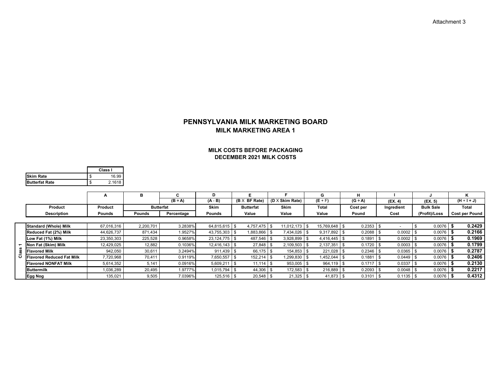Attachment 3

#### **MILK MARKETING AREA 1PENNSYLVANIA MILK MARKETING BOARD**

#### **DECEMBER 2021 MILK COSTS MILK COSTS BEFORE PACKAGING**

|                       | Class I |
|-----------------------|---------|
| <b>ISkim Rate</b>     | 16.99   |
| <b>Butterfat Rate</b> | 2.1618  |

|                |                                  | A          | в                |              | D             |                  |                        | G                |          |                        |                  |                       |
|----------------|----------------------------------|------------|------------------|--------------|---------------|------------------|------------------------|------------------|----------|------------------------|------------------|-----------------------|
|                |                                  |            |                  | $(B \div A)$ | $(A - B)$     | (BF Rate)<br>(BX | $(D \times$ Skim Rate) | $(E + F)$        | (G ÷ A)  | (EX. 4)                | (EX. 5)          | $(H + I + J)$         |
|                | Product                          | Product    | <b>Butterfat</b> |              | <b>Skim</b>   | <b>Butterfat</b> | Skim                   | Total            | Cost per | Ingredient             | <b>Bulk Sale</b> | Total                 |
|                | <b>Description</b>               | Pounds     | Pounds           | Percentage   | Pounds        | Value            | Value                  | Value            | Pound    | Cost                   | (Profit)/Loss    | <b>Cost per Pound</b> |
|                |                                  |            |                  |              |               |                  |                        |                  |          |                        |                  |                       |
|                | <b>Standard (Whole) Milk</b>     | 67,016,316 | 2,200,701        | 3.2838%      | 64.815.615    | 4.757.475        | 11,012,173 \$          | 15,769,648 \$    | 0.2353   |                        | 0.0076           | 0.2429                |
|                | Reduced Fat (2%) Milk            | 44,626,737 | 871,434          | 1.9527%      | 43,755,303    | 1,883,866        | 7,434,026              | $9,317,892$ \$   | 0.2088   | 0.0002                 | 0.0076           | 0.2166                |
|                | Low Fat (1%) Milk                | 23,350,303 | 225,528          | 0.9658%      | 23.124.775 \$ | 487,546          | $3,928,899$ \$         | $4.416.445$ \ \$ | 0.1891   | 0.0002                 | 0.0076           | 0.1969                |
| $\overline{ }$ | Non Fat (Skim) Milk              | 12,429,025 | 12,882           | 0.1036%      | 12.416.143    | 27,848           | $2,109,503$ \$         | 2,137,351        | 0.1720   | 0.0003                 | 0.0076           | 0.1799                |
|                | <b>Flavored Milk</b>             | 942.050    | 30,611           | 3.2494%      | $911.439$ \$  | 66,175           | 154,853 \$             | 221,028 \$       | 0.2346   | 0.0365                 | 0.0076           | 0.2787                |
|                | <b>Flavored Reduced Fat Milk</b> | 7.720.968  | 70,411           | 0.9119%      | 7.650.557     | 152.214          | 1.299.830              | 1.452.044        | 0.1881   | 0.0449                 | 0.0076           | 0.2406                |
|                | <b>Flavored NONFAT Milk</b>      | 5,614,352  | 5,141            | 0.0916%      | 5,609,21      | 11.114           | 953,005 \$             | $964,119$ \$     | 0.1717   | 0.0337                 | 0.0076           | 0.2130                |
|                | <b>Buttermilk</b>                | 1,036,289  | 20,495           | 1.9777%      | 1.015.794     | 44,306           | $172,583$ \$           | $216.889$ \ \$   | 0.2093   | 0.0048                 | 0.0076           | 0.2217                |
|                | Egg Nog                          | 135,021    | 9,505            | 7.0396%      | $125,516$ \$  | 20,548           | 21,325                 | 41,873 \$        | 0.3101   | $0.1135$ $\frac{1}{3}$ | 0.0076           | 0.4312                |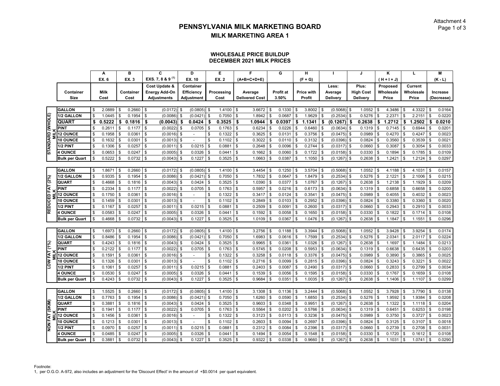#### **WHOLESALE PRICE BUILDUPDECEMBER 2021 MILK PRICES**

|                       |                       |                | A           |                | в                  |                  | C                            |           | D                        |            | Е          |               | F                     |               | G         |      | н           |                    | п                         |                | $\mathbf{I}$     |              | ĸ         | L                 |           | M          |
|-----------------------|-----------------------|----------------|-------------|----------------|--------------------|------------------|------------------------------|-----------|--------------------------|------------|------------|---------------|-----------------------|---------------|-----------|------|-------------|--------------------|---------------------------|----------------|------------------|--------------|-----------|-------------------|-----------|------------|
|                       |                       |                | EX. 6       |                | EX. 3              |                  | EXS. 7, 8 & 9 <sup>(1)</sup> |           | EX. 10                   |            | EX. 2      |               | (A+B+C+D+E)           |               |           |      | $(F + G)$   |                    |                           |                |                  |              | (H+I+J)   |                   |           | $(K - L)$  |
|                       |                       |                |             |                |                    |                  | Cost Update &                |           | Container                |            |            |               |                       |               |           |      |             |                    | Less:                     |                | Plus:            |              | Proposed  | Current           |           |            |
|                       | Container             |                | <b>Milk</b> |                | Container          |                  | <b>Energy Add-On</b>         |           | <b>Efficiency</b>        |            | Processing |               | Average               |               | Profit at |      | Price with  |                    | Average                   |                | <b>High Cost</b> |              | Wholesale | Wholesale         |           | Increase   |
|                       | <b>Size</b>           |                | Cost        |                | Cost               |                  | <b>Adjustments</b>           |           | Adjustment               |            | Cost       |               | <b>Delivered Cost</b> |               | 3.50%     |      | Profit      |                    | <b>Delivery</b>           |                | Delivery         |              | Price     | Price             |           | (Decrease) |
|                       |                       |                |             |                |                    |                  |                              |           |                          |            |            |               |                       |               |           |      |             |                    |                           |                |                  |              |           |                   |           |            |
|                       | <b>GALLON</b>         | \$             | 2.0889      | \$             | 0.2660             | \$               | $(0.0172)$ \$                |           | $(0.0805)$ \$            |            | 1.4100     | $\mathfrak s$ | 3.6672                | \$            | 0.1330    | l \$ | $3.8002$ \$ |                    | $(0.5068)$ \$             |                | 1.0552           | \$           | 4.3486    | \$<br>4.3322      | \$        | 0.0164     |
|                       | 1/2 GALLON            | \$             | 1.0445      | \$             | 0.1954             | \$               | (0.0086)                     | \$        | (0.0421)                 | \$         | 0.7050     | \$            | 1.8942                | \$            | 0.0687    | \$   | 1.9629      | \$                 | (0.2534)                  | \$             | 0.5276           |              | 2.2371    | \$<br>2.2151      | \$        | 0.0220     |
| STANDARD (WHOLE)      | QUART                 | \$             | 0.5222      | \$             | 0.1816             | \$               | (0.0043)                     |           | 0.0424                   | \$         | 0.3525     | \$            | 1.0944                | \$            | 0.0397    | \$   | 1.1341      | \$                 | (0.1267)                  | Ŝ              | 0.2638           | \$           | 1.2712    | \$<br>1.2502      | \$        | 0.0210     |
|                       | <b>PINT</b>           | \$             | 0.2611      | \$             | 0.1177             | \$               | (0.0022)                     | \$.       | 0.0705                   | \$         | 0.1763     | \$            | 0.6234                | \$            | 0.0226    | \$   | 0.6460      | \$                 | (0.0634)                  | \$             | 0.1319           |              | 0.7145    | \$<br>0.6944      | \$        | 0.0201     |
|                       | <b>12 OUNCE</b>       | \$             | 0.1958      | \$             | 0.036 <sup>4</sup> | \$               | (0.0016)                     | \$        |                          | \$         | 0.1322     | \$            | 0.3625                | \$            | 0.0131    | \$   | 0.3756      | \$                 | (0.0475)                  | ٩.             | 0.0989           |              | 0.4270    | \$<br>0.4247      | \$        | 0.0023     |
|                       | <b>10 OUNCE</b>       | \$             | 0.1632      | \$             | 0.030 <sup>4</sup> | \$               | (0.0013)                     | \$        |                          | \$         | 0.1102     | \$            | 0.3022                | \$            | 0.0110    |      | 0.3132      | \$                 | (0.0396)                  | £              | 0.0824           |              | 0.3560    | \$<br>0.3539      | \$        | 0.0021     |
|                       | 1/2 PINT              | \$             | 0.1306      | \$             | 0.0257             | \$               | $(0.0011)$ \$                |           | 0.0215                   | Ŝ.         | 0.0881     | \$            | 0.2648                | \$            | 0.0096    | \$   | 0.2744      | \$                 | (0.0317)                  | - \$           | 0.0660           |              | 0.3087    | \$<br>$0.3054$ \$ |           | 0.0033     |
|                       | <b>4 OUNCE</b>        | \$.            | 0.0653      | \$             | 0.0247             | \$               | (0.0005)                     | Ŝ.        | 0.0326                   | \$         | 0.0441     | \$            | 0.1662                | \$            | 0.0060    | \$   | 0.1722      | \$                 | (0.0158)                  | \$             | 0.0330           |              | 0.1894    | \$<br>0.1785      | \$        | 0.0109     |
|                       | <b>Bulk per Quart</b> |                | 0.5222      | \$             | 0.0732             | \$               | (0.0043)                     |           | 0.1227                   | \$         | 0.3525     | \$            | 1.0663                | \$            | 0.0387    |      | 1.1050      | \$                 | (0.1267)                  | $\mathbf{f}$   | 0.2638           |              | 1.2421    | \$<br>1.2124      | \$        | 0.0297     |
|                       |                       |                |             |                |                    |                  |                              |           |                          |            |            |               |                       |               |           |      |             |                    |                           |                |                  |              |           |                   |           |            |
|                       | <b>GALLON</b>         | \$             | 1.8671      | \$             | 0.2660             | \$               | (0.0172)                     | S         | (0.0805)                 | \$         | 1.4100     | \$            | 3.4454                | \$            | 0.1250    | \$   | 3.5704      | \$                 | (0.5068)                  | \$             | 1.0552           |              | 4.1188    | \$<br>4.1031      | \$        | 0.0157     |
|                       | 1/2 GALLON            |                | 0.9335      | \$             | 0.1954             | \$               | (0.0086)                     |           | (0.0421)                 | \$         | 0.7050     | \$            | 1.7832                | \$            | 0.0647    |      | 1.8479      | \$                 | (0.2534)                  |                | 0.5276           |              | 2.1221    | \$<br>2.1006      | \$        | 0.0215     |
| REDUCED FAT (2%)      | QUART                 | \$             | 0.4668      | \$             | 0.1816             | \$               | (0.0043)                     | S         | 0.0424                   | \$         | 0.3525     | \$            | 1.0390                | \$            | 0.0377    | \$   | 1.0767      | \$                 | (0.1267)                  | \$             | 0.2638           |              | 1.2138    | \$<br>1.1929      | Ŝ.        | 0.0209     |
|                       | <b>PINT</b>           | \$             | 0.2334      | \$             | 0.1177             | \$               | (0.0022)                     | S         | 0.0705                   | \$         | 0.1763     | \$            | 0.5957                | \$            | 0.0216    | \$   | 0.6173      | \$                 | (0.0634)                  | \$             | 0.1319           |              | 0.6858    | \$<br>0.6658      | Ŝ.        | 0.0200     |
|                       | <b>12 OUNCE</b>       | <b>S</b>       | 0.1750      | $\mathfrak{L}$ | 0.036 <sup>4</sup> | \$               | (0.0016)                     | \$        | $\overline{\phantom{a}}$ | \$         | 0.1322     | \$            | 0.3417                | \$            | 0.0124    |      | 0.3541      | \$                 | (0.0475)                  |                | 0.0989           |              | 0.4055    | \$<br>0.4032      | Ŝ.        | 0.0023     |
|                       | <b>10 OUNCE</b>       |                | 0.1459      | \$             | 0.030 <sup>4</sup> | \$               | (0.0013)                     | \$        |                          | \$         | 0.1102     | \$            | 0.2849                | \$            | 0.0103    |      | 0.2952      | \$                 | (0.0396)                  |                | 0.0824           |              | 0.3380    | \$<br>0.3360      |           | 0.0020     |
|                       | <b>1/2 PINT</b>       | \$             | 0.1167      | \$             | 0.0257             | \$               | (0.0011)                     | S         | 0.0215                   | \$         | 0.0881     | \$            | 0.2509                | \$            | 0.0091    |      | 0.2600      | \$                 | (0.0317)                  | $\mathbf{f}$   | 0.0660           |              | 0.2943    | \$<br>0.2910      | \$        | 0.0033     |
|                       | <b>4 OUNCE</b>        |                | 0.0583      | \$             | 0.0247             | \$               | (0.0005)                     |           | 0.0326                   | \$.        | 0.0441     | \$            | 0.1592                | \$            | 0.0058    |      | 0.1650      | \$                 | (0.0158)                  | £              | 0.0330           |              | 0.1822    | \$<br>0.1714      | Ŝ.        | 0.0108     |
|                       | <b>Bulk per Quart</b> | \$             | 0.4668      | \$             | 0.0732             | \$               | (0.0043)                     | Ŝ.        | 0.1227                   | \$         | 0.3525     | $\mathbb{S}$  | 1.0109                | \$            | 0.0367    | \$   | 1.0476      | \$                 | (0.1267)                  | \$             | 0.2638           |              | 1.1847    | \$<br>1.1551      | Ŝ.        | 0.0296     |
|                       |                       |                |             |                |                    |                  |                              |           |                          |            |            |               |                       |               |           |      |             |                    |                           |                |                  |              |           |                   |           |            |
|                       | <b>GALLON</b>         | Ŝ.             | 1.6973      | \$             | 0.2660             | \$               | (0.0172)                     | .q        | $(0.0805)$ \$            |            | 1.4100     | \$            | 3.2756                | \$            | 0.1188    | - \$ | 3.3944      | - \$               | (0.5068)                  | -9             | 1.0552           |              | 3.9428    | \$<br>3.9254      | Ŝ.        | 0.0174     |
|                       | 1/2 GALLON            | \$             | 0.8486      | \$             | 0.1954             | \$               | (0.0086)                     | \$        | (0.0421)                 | \$         | 0.7050     | $\mathbb{S}$  | 1.6983                | \$            | 0.0616    | \$   | 1.7599      | \$                 | (0.2534)                  | \$             | 0.5276           |              | 2.0341    | \$<br>2.0117      | \$        | 0.0224     |
|                       | <b>QUART</b>          | \$             | 0.4243      | \$             | 0.1816             | \$               | (0.0043)                     |           | 0.0424                   | \$         | 0.3525     | \$            | 0.9965                | \$            | 0.0361    |      | 1.0326      | \$                 | (0.1267)                  | $\mathfrak{L}$ | 0.2638           |              | 1.1697    | \$<br>1.1484      | \$        | 0.0213     |
| LOW FAT (1%)          | <b>PINT</b>           |                | 0.2122      | \$             | 0.1177             | \$               | (0.0022)                     | S         | 0.0705                   | \$         | 0.1763     | \$            | 0.5745                | \$            | 0.0208    |      | 0.5953      | \$                 | (0.0634)                  | £              | 0.1319           |              | 0.6638    | \$<br>0.6435      | \$        | 0.0203     |
|                       | <b>12 OUNCE</b>       | $\mathfrak{R}$ | 0.1591      | \$             | 0.036 <sup>4</sup> | \$               | (0.0016)                     | Ŝ.        | $\sim$                   | \$         | 0.1322     | \$            | 0.3258                | \$            | 0.0118    |      | 0.3376      | \$                 | (0.0475)                  | \$             | 0.0989           |              | 0.3890    | \$<br>0.3865      | Ŝ.        | 0.0025     |
|                       | <b>10 OUNCE</b>       |                | 0.1326      | \$             | 0.0301             | \$               | (0.0013)                     | \$        | $\overline{a}$           | \$         | 0.1102     | \$            | 0.2716                | \$            | 0.0099    | \$   | 0.2815      | $\mathbf{\hat{s}}$ | (0.0396)                  | -9             | 0.0824           |              | 0.3243    | \$<br>0.3221      | <b>S</b>  | 0.0022     |
|                       | 1/2 PINT              |                | 0.1061      | \$             | 0.0257             | \$               | (0.0011)                     | S         | 0.0215                   | \$         | 0.0881     | \$            | 0.2403                | \$            | 0.0087    | £.   | 0.2490      | \$                 | (0.0317)                  | £              | 0.0660           |              | 0.2833    | \$<br>0.2799      | Ŝ.        | 0.0034     |
|                       | <b>4 OUNCE</b>        | \$             | 0.0530      | \$             | 0.0247             | \$               | (0.0005)                     | \$        | 0.0326                   | \$         | 0.0441     | \$            | 0.1539                | \$            | 0.0056    | \$   | 0.1595      | \$                 | (0.0158)                  | \$             | 0.0330           |              | 0.1767    | \$<br>0.1659      | Ŝ.        | 0.0108     |
|                       | <b>Bulk per Quart</b> | \$             | 0.4243      | \$             | 0.0732             | \$               | (0.0043)                     | -S        | 0.1227                   | Ŝ.         | 0.3525     | \$            | 0.9684                | \$            | 0.0351    | \$   | 1.0035      | \$                 | (0.1267)                  | - \$           | 0.2638           | \$           | 1.1406    | \$<br>1.1107      | Ŝ.        | 0.0299     |
|                       |                       |                |             |                |                    |                  |                              |           |                          |            |            |               |                       |               |           |      |             |                    |                           |                |                  |              |           |                   |           |            |
|                       | <b>GALLON</b>         | \$             | 1.5525      | \$             | 0.2660             | \$               | $(0.0172)$ \$                |           | $(0.0805)$ \$            |            | 1.4100     | \$            | 3.1308                | \$            | 0.1136    | - \$ | 3.2444      | -\$                | (0.5068)                  | -\$            | 1.0552           |              | 3.7928    | \$<br>3.7790      | \$        | 0.0138     |
|                       | 1/2 GALLON            |                | 0.7763      | \$             | 0.1954             | \$               | (0.0086)                     |           | (0.0421)                 | Ŝ.         | 0.7050     | $\mathbb{S}$  | 1.6260                | \$            | 0.0590    |      | 1.6850      | \$                 | (0.2534)                  | \$             | 0.5276           |              | 1.9592    | \$<br>1.9384      | Ŝ.        | 0.0208     |
|                       | <b>QUART</b>          |                | 0.3881      | \$             | 0.1816             | \$               | (0.0043)                     |           | 0.0424                   | \$         | 0.3525     | \$            | 0.9603                | \$            | 0.0348    |      | 0.9951      | \$                 | (0.1267)                  | £              | 0.2638           |              | 1.1322    | \$<br>1.1118      | Ŝ.        | 0.0204     |
|                       | <b>PINT</b>           |                | 0.1941      | \$             | 0.1177             | \$               | (0.0022)                     | S         | 0.0705                   | \$         | 0.1763     | \$            | 0.5564                | \$            | 0.0202    |      | 0.5766      | \$                 | (0.0634)                  | £              | 0.1319           |              | 0.6451    | \$<br>0.6253      |           | 0.0198     |
| <b>NON FAT (SKIM)</b> | <b>12 OUNCE</b>       |                | 0.1456      | \$             | 0.036 <sup>4</sup> | \$               | (0.0016)                     | S         | $\overline{\phantom{a}}$ | \$         | 0.1322     | \$            | 0.3123                | \$            | 0.0113    |      | 0.3236      | \$                 | (0.0475)                  |                | 0.0989           |              | 0.3750    | \$<br>0.3727      | \$        | 0.0023     |
|                       | <b>10 OUNCE</b>       | \$             | 0.1213      | $\mathfrak s$  | 0.0301             | \$               | (0.0013)                     | <b>\$</b> | $\overline{a}$           | \$         | 0.1102     | \$            | 0.2603                | \$            | 0.0094    | \$   | 0.2697      | \$                 | (0.0396)                  | \$             | 0.0824           | $\mathbf{s}$ | 0.3125    | \$<br>0.3107      | <b>\$</b> | 0.0018     |
|                       | 1/2 PINT              |                | 0.0970      | \$             | 0.0257             | \$               | (0.0011)                     | \$        | 0.0215                   | \$         | 0.0881     | \$            | 0.2312                | \$            | 0.0084    |      | 0.2396      | \$                 | (0.0317)                  |                | 0.0660           |              | 0.2739    | \$<br>0.2708      |           | 0.0031     |
|                       | <b>4 OUNCE</b>        |                | 0.0485      | \$             | 0.0247             |                  |                              |           |                          | \$         | 0.0441     | \$            |                       | \$            | 0.0054    |      | 0.1548      | \$                 |                           |                | 0.0330           |              | 0.1720    | \$<br>0.1612      |           | 0.0108     |
|                       | <b>Bulk per Quart</b> |                | 0.3881      | \$             | 0.0732             | \$<br>$\sqrt{3}$ | (0.0005)<br>$(0.0043)$ \$    |           | 0.0326<br>0.1227         | $\sqrt{s}$ | 0.3525     | $\mathfrak s$ | 0.1494<br>0.9322      | $\mathsf{\$}$ | 0.0338    | l s  | 0.9660      | \$                 | (0.0158)<br>$(0.1267)$ \$ | £              | $0.2638$ \$      |              | 1.1031    | \$<br>1.0741      | \$<br>\$  | 0.0290     |
|                       |                       |                |             |                |                    |                  |                              |           |                          |            |            |               |                       |               |           |      |             |                    |                           |                |                  |              |           |                   |           |            |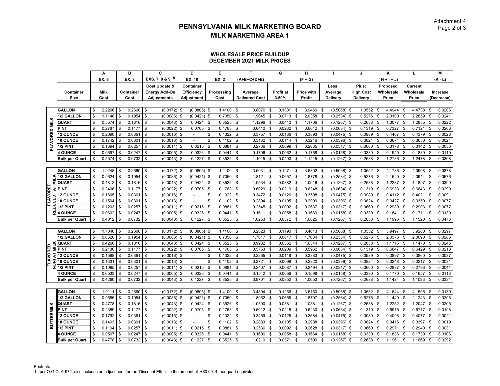#### **WHOLESALE PRICE BUILDUPDECEMBER 2021 MILK PRICES**

|                   |                       | А            |                | в            |              | C                            |          | D                        |                    | E            |               | F                     | G            |              | н                 |                     |          | J                |      | K             |              | L         |      | M          |
|-------------------|-----------------------|--------------|----------------|--------------|--------------|------------------------------|----------|--------------------------|--------------------|--------------|---------------|-----------------------|--------------|--------------|-------------------|---------------------|----------|------------------|------|---------------|--------------|-----------|------|------------|
|                   |                       | EX. 6        |                | <b>EX. 3</b> |              | EXS. 7, 8 & 9 <sup>(1)</sup> |          | EX. 10                   |                    | <b>EX. 2</b> |               | (A+B+C+D+E)           |              |              | $(F + G)$         |                     |          |                  |      | $(H + H + J)$ |              |           |      | $(K - L)$  |
|                   |                       |              |                |              |              | Cost Update &                |          | Container                |                    |              |               |                       |              |              |                   | Less:               |          | Plus:            |      | Proposed      |              | Current   |      |            |
|                   | Container             | <b>Milk</b>  |                | Container    |              | <b>Energy Add-On</b>         |          | <b>Efficiency</b>        |                    | Processing   |               | Average               | Profit at    |              | <b>Price with</b> | Average             |          | <b>High Cost</b> |      | Wholesale     |              | Wholesale |      | Increase   |
|                   | Size                  | Cost         |                | Cost         |              | <b>Adjustments</b>           |          | Adjustment               |                    | Cost         |               | <b>Delivered Cost</b> | 3.50%        |              | Profit            | Delivery            |          | Delivery         |      | Price         |              | Price     |      | (Decrease) |
|                   |                       |              |                |              |              |                              |          |                          |                    |              |               |                       |              |              |                   |                     |          |                  |      |               |              |           |      |            |
|                   | <b>GALLON</b>         | \$<br>2.2296 | \$             | 0.2660       | \$           | $(0.0172)$ \$                |          | $(0.0805)$ \$            |                    | $1.4100$ \$  |               | 3.8079                | \$<br>0.1381 | S.           | $3.9460$ \$       | $(0.5068)$ \$       |          | 1.0552           |      | 4.4944        | \$           | 4.4738    | \$   | 0.0206     |
|                   | 1/2 GALLON            | \$<br>1.1148 | $\mathfrak s$  | 0.1954       | \$           | (0.0086)                     | \$       | (0.0421)                 | \$                 | 0.7050       | \$            | 1.9645                | \$<br>0.0713 |              | 2.0358            | \$<br>(0.2534)      | \$       | 0.5276           |      | 2.3100        | \$           | 2.2859    | \$   | 0.0241     |
| FLAVORED MILK     | QUART                 | \$<br>0.5574 | \$             | 0.1816       | \$           | (0.0043)                     | \$       | 0.0424                   |                    | 0.3525       | \$            | 1.1296                | \$<br>0.0410 |              | 1.1706            | \$<br>(0.1267)      | \$       | 0.2638           |      | 1.3077        | \$           | 1.2855    | \$   | 0.0222     |
|                   | <b>PINT</b>           | \$<br>0.2787 | \$             | 0.1177       | \$           | (0.0022)                     | \$       | 0.0705                   | -S                 | 0.1763       | $\frac{1}{2}$ | 0.6410                | \$<br>0.0232 |              | 0.6642            | \$<br>(0.0634)      | \$       | 0.1319           |      | 0.7327        | \$           | 0.7121    | \$   | 0.0206     |
|                   | 12 OUNCE              | \$<br>0.2090 | $\mathfrak s$  | 0.0361       | \$           | (0.0016)                     | \$       |                          | \$                 | 0.1322       | \$            | 0.3757                | \$<br>0.0136 |              | 0.3893            | \$<br>(0.0475)      | \$       | 0.0989           |      | 0.4407        | \$           | 0.4379    | \$   | 0.0028     |
|                   | 10 OUNCE              | \$<br>0.1742 | \$             | 0.0301       | \$           | (0.0013)                     | \$       |                          |                    | 0.1102       | \$            | 0.3132                | \$<br>0.0114 |              | 0.3246            | \$<br>(0.0396)      | \$       | 0.0824           |      | 0.3674        | \$           | 0.3650    | -S   | 0.0024     |
|                   | 1/2 PINT              | \$<br>0.1394 | \$             | 0.0257       | \$           | $(0.0011)$ \$                |          | 0.0215                   | \$                 | 0.0881       | \$            | 0.2736                | \$<br>0.0099 |              | 0.2835            | \$<br>$(0.0317)$ \$ |          | 0.0660           |      | 0.3178        | \$           | 0.3142    | \$   | 0.0036     |
|                   | <b>4 OUNCE</b>        | \$<br>0.0697 | $\mathfrak s$  | 0.0247       | \$           | (0.0005)                     | \$       | 0.0326                   |                    | 0.0441       | \$            | 0.1706                | \$<br>0.0062 |              | 0.1768            | \$<br>(0.0158)      | \$       | 0.0330           |      | 0.1940        | \$           | 0.1830    | \$   | 0.0110     |
|                   | <b>Bulk per Quart</b> | \$<br>0.5574 | $\mathfrak s$  | 0.0732       | \$           | (0.0043)                     | \$       | 0.1227                   |                    | 0.3525       | \$            | 1.1015                | \$<br>0.0400 |              | 1.1415            | \$<br>(0.1267)      | \$       | 0.2638           |      | 1.2786        | \$           | 1.2478    | \$   | 0.0308     |
|                   |                       |              |                |              |              |                              |          |                          |                    |              |               |                       |              |              |                   |                     |          |                  |      |               |              |           |      |            |
|                   | <b>GALLON</b>         | \$<br>1.9248 | \$             | 0.2660       | \$           | $(0.0172)$ \$                |          | (0.0805)                 | l \$               | 1.4100       | \$            | 3.5031                | \$<br>0.1271 | \$           | 3.6302            | \$<br>$(0.5068)$ \$ |          | 1.0552           |      | 4.1786        | \$           | 4.0908    | \$   | 0.0878     |
|                   | 1/2 GALLON            | \$<br>0.9624 | \$             | 0.1954       | \$           | (0.0086)                     | Ŝ        | (0.0421)                 |                    | 0.7050       | \$            | 1.8121                | 0.0657       |              | 1.8778            | \$<br>(0.2534)      | \$       | 0.5276           |      | 2.1520        | \$           | 2.0944    | \$   | 0.0576     |
|                   | <b>QUART</b>          | \$<br>0.4812 | $\mathfrak s$  | 0.1816       | \$           | (0.0043)                     | <b>S</b> | 0.0424                   |                    | 0.3525       | \$            | 1.0534                | \$<br>0.0382 |              | 1.0916            | \$<br>(0.1267)      | \$       | 0.2638           |      | 1.2287        | \$           | 1.1897    | \$   | 0.0390     |
|                   | <b>PINT</b>           | \$<br>0.2406 | \$             | 0.1177       | \$           | (0.0022)                     | \$       | 0.0705                   |                    | 0.1763       | \$            | 0.6029                | \$<br>0.0219 |              | 0.6248            | \$<br>(0.0634)      | \$       | 0.1319           |      | 0.6933        | \$.          | 0.6643    | Ŝ.   | 0.0290     |
| <b>AVORED</b>     | <b>12 OUNCE</b>       | \$<br>0.1805 | \$             | 0.0361       | \$           | (0.0016)                     | \$       |                          |                    | 0.1322       | \$            | 0.3472                | \$<br>0.0126 |              | 0.3598            | \$<br>(0.0475)      | \$       | 0.0989           |      | 0.4112        | \$           | 0.4021    | \$   | 0.0091     |
|                   | 10 OUNCE              | \$<br>0.1504 | \$             | 0.0301       | \$           | $(0.0013)$ \$                |          | $\sim$                   |                    | 0.1102       | \$            | 0.2894                | \$<br>0.0105 |              | 0.2999            | \$<br>(0.0396)      | \$       | 0.0824           |      | 0.3427        | \$           | 0.3350    | Ŝ.   | 0.0077     |
| ನ                 | 1/2 PINT              | \$<br>0.1203 | \$             | 0.0257       | \$           | (0.0011)                     | <b>S</b> | 0.0215                   | - \$               | 0.0881       | \$            | 0.2545                | \$<br>0.0092 |              | 0.2637            | \$<br>(0.0317)      | \$       | 0.0660           |      | 0.2980        | \$           | 0.2903    | \$   | 0.0077     |
|                   | <b>4 OUNCE</b>        | \$<br>0.0602 | \$             | 0.0247       | \$           | (0.0005)                     | Ŝ        | 0.0326                   |                    | 0.0441       | \$            | 0.1611                | \$<br>0.0058 |              | 0.1669            | \$<br>(0.0158)      | \$       | 0.0330           |      | 0.1841        | \$           | 0.1711    | \$   | 0.0130     |
|                   | <b>Bulk per Quart</b> | \$<br>0.4812 | \$             | 0.0732       | \$           | (0.0043)                     | \$       | 0.1227                   |                    | 0.3525       | \$            | 1.0253                | \$<br>0.0372 |              | 1.0625            | \$<br>(0.1267)      | \$       | 0.2638           |      | 1.1996        | \$           | 1.1520    | -S   | 0.0476     |
|                   |                       |              |                |              |              |                              |          |                          |                    |              |               |                       |              |              |                   |                     |          |                  |      |               |              |           |      |            |
|                   | <b>GALLON</b>         | \$<br>1.7040 | \$             | 0.2660       | \$           | (0.0172)                     | l \$     | (0.0805)                 | l \$               | 1.4100       | \$            | 3.2823                | \$<br>0.1190 |              | 3.4013            | \$<br>(0.5068)      | - \$     | 1.0552           |      | 3.9497        | \$           | 3.9200    | \$   | 0.0297     |
|                   | 1/2 GALLON            | \$<br>0.8520 | \$             | 0.1954       | \$           | (0.0086)                     | \$       | (0.0421)                 | \$                 | 0.7050       | \$            | 1.7017                | \$<br>0.0617 | \$           | 1.7634            | \$<br>(0.2534)      | \$       | 0.5276           |      | 2.0376        | \$           | 2.0090    | \$   | 0.0286     |
|                   | <b>QUART</b>          | \$<br>0.4260 | \$             | 0.1816       | \$           | (0.0043)                     | \$       | 0.0424                   |                    | 0.3525       | \$            | 0.9982                | \$<br>0.0362 |              | 1.0344            | \$<br>(0.1267)      | - \$     | 0.2638           |      | 1.1715        | \$           | 1.1470    | \$   | 0.0245     |
| ⋾                 | <b>PINT</b>           | \$<br>0.2130 | \$             | 0.1177       | \$           | (0.0022)                     | \$       | 0.0705                   |                    | 0.1763       | \$            | 0.5753                | \$<br>0.0209 |              | 0.5962            | \$<br>(0.0634)      | \$       | 0.1319           |      | 0.6647        | \$           | 0.6429    | \$   | 0.0218     |
|                   | <b>12 OUNCE</b>       | \$<br>0.1598 | \$             | 0.0361       | \$           | $(0.0016)$ \$                |          |                          | \$                 | 0.1322       | \$            | 0.3265                | \$<br>0.0118 | \$.          | 0.3383            | \$<br>(0.0475)      | \$       | 0.0989           |      | 0.3897        | \$           | 0.3860    | -S   | 0.0037     |
| FLAVORED<br>ż     | 10 OUNCE              | \$<br>0.1331 | \$             | 0.0301       | \$           | (0.0013)                     | \$       |                          | $\mathbf{\hat{s}}$ | 0.1102       | \$            | 0.2721                | \$<br>0.0099 |              | 0.2820            | \$<br>(0.0396)      | - \$     | 0.0824           |      | 0.3248        | \$           | 0.3217    | \$   | 0.0031     |
| g,                | 1/2 PINT              | \$<br>0.1065 | \$             | 0.0257       | \$           | (0.0011)                     | \$       | 0.0215                   |                    | 0.0881       | $\mathbb{S}$  | 0.2407                | \$<br>0.0087 |              | 0.2494            | \$<br>(0.0317)      | \$       | 0.0660           |      | 0.2837        | \$           | 0.2796    | Ŝ.   | 0.0041     |
|                   | <b>4 OUNCE</b>        | \$<br>0.0533 | \$             | 0.0247       | \$           | (0.0005)                     | \$       | 0.0326                   | \$                 | 0.0441       | \$            | 0.1542                | \$<br>0.0056 |              | 0.1598            | \$<br>(0.0158)      | \$       | 0.0330           |      | 0.1770        | \$           | 0.1657    | Ŝ.   | 0.0113     |
|                   | <b>Bulk per Quart</b> | \$<br>0.4260 | \$             | 0.0732       | \$           | (0.0043)                     | <b>S</b> | 0.1227                   |                    | 0.3525       | \$            | 0.9701                | \$<br>0.0352 |              | 1.0053            | \$<br>(0.1267)      | - \$     | 0.2638           |      | 1.1424        | \$           | 1.1093    | \$   | 0.0331     |
|                   |                       |              |                |              |              |                              |          |                          |                    |              |               |                       |              |              |                   |                     |          |                  |      |               |              |           |      |            |
|                   | <b>GALLON</b>         | \$<br>1.9111 | \$             | 0.2660       | \$           | $(0.0172)$ \$                |          | $(0.0805)$ \$            |                    | 1.4100       | \$            | 3.4894                | \$<br>0.1266 | - \$         | 3.6160            | \$<br>$(0.5068)$ \$ |          | 1.0552           | - \$ | 4.1644        | \$           | 4.1505    | l \$ | 0.0139     |
|                   | 1/2 GALLON            | \$<br>0.9555 | $\mathbb{S}$   | 0.1954       | $\mathbb{S}$ | (0.0086)                     | - \$     | (0.0421)                 | \$                 | 0.7050       | \$            | 1.8052                | \$<br>0.0655 |              | 1.8707            | \$<br>(0.2534)      | - \$     | 0.5276           |      | 2.1449        | \$           | 2.1243    | l \$ | 0.0206     |
|                   | QUART                 | \$<br>0.4778 | \$             | 0.1816       | \$           | (0.0043)                     | \$       | 0.0424                   |                    | 0.3525       | \$            | 1.0500                | \$<br>0.0381 |              | 1.0881            | \$<br>(0.1267)      | \$       | 0.2638           |      | 1.2252        | \$           | 1.2047    | \$   | 0.0205     |
| <b>BUTTERMILK</b> | <b>PINT</b>           | \$<br>0.2389 | \$             | 0.1177       | \$           | (0.0022)                     | \$       | 0.0705                   | <b>S</b>           | 0.1763       | $\mathbb{S}$  | 0.6012                | \$<br>0.0218 |              | 0.6230            | \$<br>(0.0634)      | \$       | 0.1319           |      | 0.6915        | \$           | 0.6717    | \$   | 0.0198     |
|                   | <b>12 OUNCE</b>       | \$<br>0.1792 | \$             | 0.0361       | \$           | (0.0016)                     | <b>S</b> | $\overline{\phantom{a}}$ | \$                 | 0.1322       | \$            | 0.3459                | \$<br>0.0125 |              | 0.3584            | \$<br>(0.0475)      | \$       | 0.0989           |      | 0.4098        | \$           | 0.4077    | \$   | 0.0021     |
|                   | <b>10 OUNCE</b>       | \$<br>0.1493 | $\mathfrak s$  | 0.0301       | \$           | (0.0013)                     | \$       |                          | \$                 | 0.1102       | \$            | 0.2883                | \$<br>0.0105 |              | 0.2988            | \$<br>(0.0396)      | \$       | 0.0824           |      | 0.3416        | \$           | 0.3397    | \$   | 0.0019     |
|                   | 1/2 PINT              | \$<br>0.1194 | \$             | 0.0257       | \$           | (0.0011)                     | \$       | 0.0215                   |                    | 0.0881       | \$            | 0.2536                | \$<br>0.0092 |              | 0.2628            | \$<br>(0.0317)      | \$       | 0.0660           |      | 0.2971        | \$           | 0.2940    |      | 0.0031     |
|                   | <b>4 OUNCE</b>        | \$<br>0.0597 | \$             | 0.0247       | \$           | (0.0005)                     | \$       | 0.0326                   |                    | 0.0441       | \$            | 0.1606                | \$<br>0.0058 |              | 0.1664            | \$<br>(0.0158)      | \$       | 0.0330           |      | 0.1836        | \$           | 0.1730    | \$   | 0.0106     |
|                   | <b>Bulk per Quart</b> | \$<br>0.4778 | $\mathfrak{S}$ | 0.0732       | \$           | $(0.0043)$ \$                |          | 0.1227                   | <b>S</b>           | $0.3525$ \$  |               | 1.0219                | \$<br>0.0371 | $\mathbf{s}$ | 1.0590            | \$<br>(0.1267)      | <b>S</b> | 0.2638           | \$   | 1.1961        | $\mathbf{s}$ | 1.1669    | \$   | 0.0292     |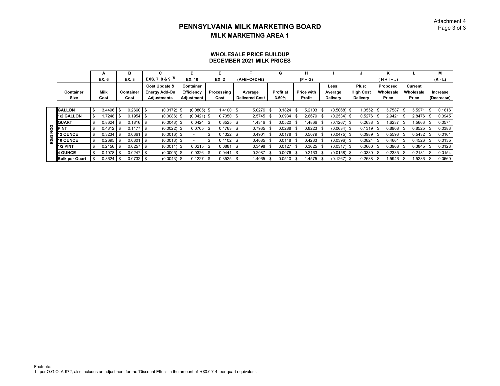Attachment 4 $\mathsf D$  Page 3 of 3

#### **PENNSYLVANIA MILK MARKETING BOARDMILK MARKETING AREA 1**

#### **WHOLESALE PRICE BUILDUPDECEMBER 2021 MILK PRICES**

|            |                       |     | А      |      | в           |     | C                      | D                 | Е            |                       | G         | н                 |    |                 |                  | Κ         |      |           |     | м          |
|------------|-----------------------|-----|--------|------|-------------|-----|------------------------|-------------------|--------------|-----------------------|-----------|-------------------|----|-----------------|------------------|-----------|------|-----------|-----|------------|
|            |                       |     | EX. 6  |      | <b>EX.3</b> |     | EXS. 7, 8 & 9 $^{(1)}$ | EX. 10            | <b>EX. 2</b> | $(A+B+C+D+E)$         |           | $(F + G)$         |    |                 |                  | $(H + H)$ |      |           |     | $(K - L)$  |
|            |                       |     |        |      |             |     | Cost Update &          | Container         |              |                       |           |                   |    | Less:           | Plus:            | Proposed  |      | Current   |     |            |
|            | Container             |     | Milk   |      | Container   |     | <b>Energy Add-On</b>   | <b>Efficiency</b> | Processing   | Average               | Profit at | <b>Price with</b> |    | Average         | <b>High Cost</b> | Wholesale |      | Wholesale |     | Increase   |
|            | Size                  |     | Cost   |      | Cost        |     | <b>Adjustments</b>     | Adjustment        | Cost         | <b>Delivered Cost</b> | 3.50%     | Profit            |    | <b>Delivery</b> | <b>Delivery</b>  | Price     |      | Price     |     | (Decrease) |
|            |                       |     |        |      |             |     |                        |                   |              |                       |           |                   |    |                 |                  |           |      |           |     |            |
|            | <b>GALLON</b>         | \$  | 3.4496 | \$   | 0.2660      | \$  | (0.0172)               | $(0.0805)$ \$     | $1.4100$ S   | 5.0279                | 0.1824    | 5.2103            | -S | $(0.5068)$ \$   | 1.0552           | 5.7587    | \$   | 5.5971    |     | 0.1616     |
|            | <b>1/2 GALLON</b>     |     | .7248  |      | 0.1954      | -\$ | $(0.0086)$ \$          | $(0.0421)$ \$     | 0.7050       | 2.5745                | 0.0934    | 2.6679            |    | $(0.2534)$ \$   | 0.5276           | 2.9421    |      | 2.8476    | ∣\$ | 0.0945     |
|            | <b>QUART</b>          |     | 0.8624 |      | 0.1816      | \$  | $(0.0043)$ \$          | 0.0424            | 0.3525       | 1.4346                | 0.0520    | 1.4866            |    | $(0.1267)$ \$   | 0.2638           | .6237     |      | 1.5663    |     | 0.0574     |
| <b>DON</b> | <b>PINT</b>           |     | 0.4312 | - \$ | 0.1177      | \$  | $(0.0022)$ \$          | 0.0705            | 0.1763       | 0.7935                | 0.0288    | 0.8223            |    | $(0.0634)$ \$   | 0.1319           | 0.8908    | - \$ | 0.8525    |     | 0.0383     |
| O          | <b>12 OUNCE</b>       |     | 0.3234 |      | 0.0361      | \$  | $(0.0016)$ \$          |                   | 0.1322       | 0.4901                | 0.0178    | 0.5079            |    | $(0.0475)$ \$   | 0.0989           | 0.5593    |      | 0.5432    |     | 0.0161     |
| ğ          | 10 OUNCE              |     | 0.2695 | - \$ | 0.0301      | \$  | $(0.0013)$ \$          |                   | 0.1102       | 0.4085                | 0.0148    | 0.4233            | -S | $(0.0396)$ \$   | 0.0824           | 0.4661    |      | 0.4526    |     | 0.0135     |
|            | <b>1/2 PINT</b>       | \$. | 0.2156 | .ኖ   | 0.0257      | \$  | $(0.0011)$ \$          | 0.0215            | 0.0881       | 0.3498                | 0.0127    | 0.3625            |    | $(0.0317)$ \$   | 0.0660           | 0.3968    |      | 0.3845    |     | 0.0123     |
|            | <b>4 OUNCE</b>        |     | 0.1078 |      | 0.0247      | -S  | $(0.0005)$ \$          | 0.0326            | 0.0441       | 0.2087                | 0.0076    | 0.2163            |    | $(0.0158)$ \$   | 0.0330           | 0.2335    |      | 0.2181    |     | 0.0154     |
|            | <b>Bulk per Quart</b> |     | 0.8624 | - \$ | $0.0732$ \$ |     | $(0.0043)$ \$          | 0.1227            | 0.3525       | 1.4065                | 0.0510    | .4575             |    | $(0.1267)$ \$   | $0.2638$ \$      | .5946     |      | 1.5286    |     | 0.0660     |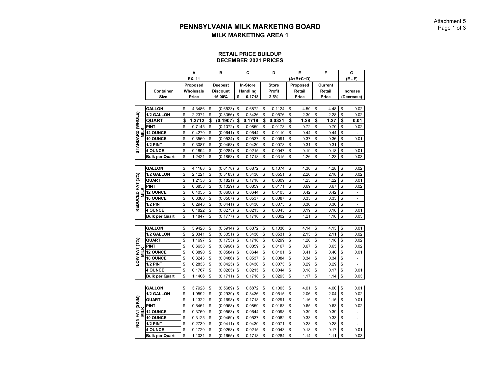#### **RETAIL PRICE BUILDUP DECEMBER 2021 PRICES**

|                                  |                       | A            | B               | C                        | D            | E           | F          | G                              |
|----------------------------------|-----------------------|--------------|-----------------|--------------------------|--------------|-------------|------------|--------------------------------|
|                                  |                       | EX. 11       |                 |                          |              | $(A+B+C+D)$ |            | (E - F)                        |
|                                  |                       | Proposed     | <b>Deepest</b>  | In-Store                 | <b>Store</b> | Proposed    | Current    |                                |
|                                  | Container             | Wholesale    | <b>Discount</b> |                          | Profit       | Retail      | Retail     | Increase                       |
|                                  | Size                  | Price        | 15.00%          | \$<br>Handling<br>0.1718 | 2.5%         | Price       | Price      |                                |
|                                  |                       |              |                 |                          |              |             |            | (Decrease)                     |
|                                  | <b>GALLON</b>         | \$<br>4.3486 | \$<br>(0.6523)  | \$<br>0.6872             | \$<br>0.1124 | \$<br>4.50  | \$<br>4.48 | \$<br>0.02                     |
|                                  | 1/2 GALLON            | \$<br>2.2371 | \$<br>(0.3356)  | \$<br>0.3436             | \$<br>0.0576 | \$<br>2.30  | \$<br>2.28 | \$<br>0.02                     |
|                                  | <b>QUART</b>          | \$<br>1.2712 | \$<br>(0.1907)  | \$<br>0.1718             | \$<br>0.0321 | \$<br>1.28  | \$<br>1.27 | \$<br>0.01                     |
|                                  | <b>PINT</b>           | \$<br>0.7145 | \$<br>(0.1072)  | \$<br>0.0859             | \$<br>0.0178 | \$<br>0.72  | \$<br>0.70 | \$<br>0.02                     |
| STANDARD (WHOLE)<br><b>MILK</b>  | <b>12 OUNCE</b>       | \$<br>0.4270 | \$<br>(0.0641)  | \$<br>0.0644             | \$<br>0.0110 | \$<br>0.44  | \$<br>0.44 | \$                             |
|                                  | 10 OUNCE              | \$<br>0.3560 | \$<br>(0.0534)  | \$<br>0.0537             | \$<br>0.0091 | \$<br>0.37  | \$<br>0.36 | \$<br>0.01                     |
|                                  | 1/2 PINT              | \$<br>0.3087 | \$<br>(0.0463)  | \$<br>0.0430             | \$<br>0.0078 | \$<br>0.31  | \$<br>0.31 | \$<br>$\overline{a}$           |
|                                  | <b>4 OUNCE</b>        | \$<br>0.1894 | \$<br>(0.0284)  | \$<br>0.0215             | \$<br>0.0047 | \$<br>0.19  | \$<br>0.18 | \$<br>0.01                     |
|                                  | <b>Bulk per Quart</b> | \$<br>1.2421 | \$<br>(0.1863)  | \$<br>0.1718             | \$<br>0.0315 | \$<br>1.26  | \$<br>1.23 | \$<br>0.03                     |
|                                  |                       |              |                 |                          |              |             |            |                                |
|                                  | <b>GALLON</b>         | \$<br>4.1188 | \$<br>(0.6178)  | \$<br>0.6872             | \$<br>0.1074 | \$<br>4.30  | \$<br>4.28 | \$<br>0.02                     |
|                                  | 1/2 GALLON            | \$<br>2.1221 | \$<br>(0.3183)  | \$<br>0.3436             | \$<br>0.0551 | \$<br>2.20  | \$<br>2.18 | \$<br>0.02                     |
|                                  | QUART                 | \$<br>1.2138 | \$<br>(0.1821)  | \$<br>0.1718             | \$<br>0.0309 | \$<br>1.23  | \$<br>1.22 | \$<br>0.01                     |
|                                  | <b>PINT</b>           | \$<br>0.6858 | \$<br>(0.1029)  | \$<br>0.0859             | \$<br>0.0171 | \$<br>0.69  | \$<br>0.67 | \$<br>0.02                     |
| REDUCED FAT (2%)<br><b>MILK</b>  | <b>12 OUNCE</b>       | \$<br>0.4055 | \$<br>(0.0608)  | \$<br>0.0644             | \$<br>0.0105 | \$<br>0.42  | \$<br>0.42 | \$<br>$\overline{a}$           |
|                                  | 10 OUNCE              | \$<br>0.3380 | \$<br>(0.0507)  | \$<br>0.0537             | \$<br>0.0087 | \$<br>0.35  | \$<br>0.35 | \$<br>$\blacksquare$           |
|                                  | 1/2 PINT              | \$<br>0.2943 | \$<br>(0.0441)  | \$<br>0.0430             | \$<br>0.0075 | \$<br>0.30  | \$<br>0.30 | \$<br>$\overline{a}$           |
|                                  | <b>4 OUNCE</b>        | \$<br>0.1822 | \$<br>(0.0273)  | \$<br>0.0215             | \$<br>0.0045 | \$<br>0.19  | \$<br>0.18 | \$<br>0.01                     |
|                                  | <b>Bulk per Quart</b> | \$<br>1.1847 | \$<br>(0.1777)  | \$<br>0.1718             | \$<br>0.0302 | \$<br>1.21  | \$<br>1.18 | \$<br>0.03                     |
|                                  |                       |              |                 |                          |              |             |            |                                |
|                                  | <b>GALLON</b>         | \$<br>3.9428 | \$<br>(0.5914)  | \$<br>0.6872             | \$<br>0.1036 | \$<br>4.14  | \$<br>4.13 | \$<br>0.01                     |
|                                  | 1/2 GALLON            | \$<br>2.0341 | \$<br>(0.3051)  | \$<br>0.3436             | \$<br>0.0531 | \$<br>2.13  | \$<br>2.11 | \$<br>0.02                     |
|                                  | QUART                 | \$<br>1.1697 | \$<br>(0.1755)  | \$<br>0.1718             | \$<br>0.0299 | \$<br>1.20  | \$<br>1.18 | \$<br>0.02                     |
|                                  | <b>PINT</b>           | \$<br>0.6638 | \$<br>(0.0996)  | \$<br>0.0859             | \$<br>0.0167 | \$<br>0.67  | \$<br>0.65 | \$<br>0.02                     |
|                                  | 12 OUNCE              | \$<br>0.3890 | \$<br>(0.0584)  | \$<br>0.0644             | \$<br>0.0101 | \$<br>0.41  | \$<br>0.40 | \$<br>0.01                     |
| MILK<br>TOM FAT (1%)             | <b>10 OUNCE</b>       | \$<br>0.3243 | \$<br>(0.0486)  | \$<br>0.0537             | \$<br>0.0084 | \$<br>0.34  | \$<br>0.34 | \$<br>$\blacksquare$           |
|                                  | 1/2 PINT              | \$<br>0.2833 | \$<br>(0.0425)  | \$<br>0.0430             | \$<br>0.0073 | \$<br>0.29  | \$<br>0.29 | \$<br>÷,                       |
|                                  | <b>4 OUNCE</b>        | \$<br>0.1767 | \$<br>(0.0265)  | \$<br>0.0215             | \$<br>0.0044 | \$<br>0.18  | \$<br>0.17 | \$<br>0.01                     |
|                                  | <b>Bulk per Quart</b> | \$<br>1.1406 | \$<br>(0.1711)  | \$<br>0.1718             | \$<br>0.0293 | \$<br>1.17  | \$<br>1.14 | \$<br>0.03                     |
|                                  |                       |              |                 |                          |              |             |            |                                |
|                                  | <b>GALLON</b>         | \$<br>3.7928 | \$<br>(0.5689)  | \$<br>0.6872             | \$<br>0.1003 | \$<br>4.01  | \$<br>4.00 | \$<br>0.01                     |
|                                  | 1/2 GALLON            | \$<br>1.9592 | \$<br>(0.2939)  | \$<br>0.3436             | \$<br>0.0515 | \$<br>2.06  | \$<br>2.04 | \$<br>0.02                     |
|                                  | QUART                 | \$<br>1.1322 | \$<br>(0.1698)  | \$<br>0.1718             | \$<br>0.0291 | \$<br>1.16  | \$<br>1.15 | \$<br>0.01                     |
|                                  | PINT                  | \$<br>0.6451 | \$<br>(0.0968)  | \$<br>0.0859             | \$<br>0.0163 | \$<br>0.65  | \$<br>0.63 | \$<br>0.02                     |
| MON FAT (SKIM)<br>NON FAT (SKIM) | 12 OUNCE              | \$<br>0.3750 | \$<br>(0.0563)  | \$<br>0.0644             | \$<br>0.0098 | \$<br>0.39  | \$<br>0.39 | \$<br>$\overline{\phantom{a}}$ |
|                                  | 10 OUNCE              | \$<br>0.3125 | \$<br>(0.0469)  | \$<br>0.0537             | \$<br>0.0082 | \$<br>0.33  | \$<br>0.33 | \$                             |
|                                  | 1/2 PINT              | \$<br>0.2739 | \$<br>(0.0411)  | \$<br>0.0430             | \$<br>0.0071 | \$<br>0.28  | \$<br>0.28 | \$<br>$\overline{\phantom{a}}$ |
|                                  | <b>4 OUNCE</b>        | \$<br>0.1720 | \$<br>(0.0258)  | \$<br>0.0215             | \$<br>0.0043 | \$<br>0.18  | \$<br>0.17 | \$<br>0.01                     |
|                                  | <b>Bulk per Quart</b> | \$<br>1.1031 | \$<br>(0.1655)  | \$<br>0.1718             | \$<br>0.0284 | \$<br>1.14  | \$<br>1.11 | \$<br>0.03                     |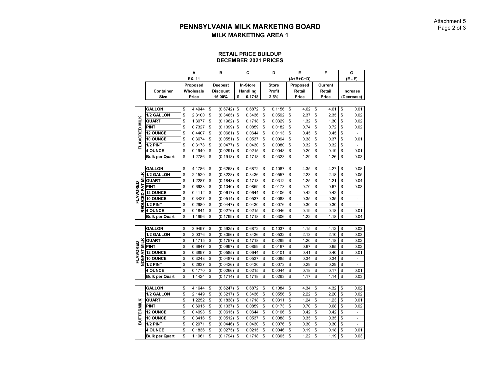#### **RETAIL PRICE BUILDUP DECEMBER 2021 PRICES**

|                   |                                             | A            | B               | C            | D            | Е          | F          | G                    |
|-------------------|---------------------------------------------|--------------|-----------------|--------------|--------------|------------|------------|----------------------|
|                   |                                             | EX. 11       |                 |              |              | (A+B+C+D)  |            | (E - F)              |
|                   |                                             | Proposed     | <b>Deepest</b>  | In-Store     | <b>Store</b> | Proposed   | Current    |                      |
|                   | Container                                   | Wholesale    | <b>Discount</b> | Handling     | Profit       | Retail     | Retail     | Increase             |
|                   | <b>Size</b>                                 | Price        | 15.00%          | \$<br>0.1718 | 2.5%         | Price      | Price      | (Decrease)           |
|                   |                                             |              |                 |              |              |            |            |                      |
|                   | <b>GALLON</b>                               | \$<br>4.4944 | \$<br>(0.6742)  | \$<br>0.6872 | \$<br>0.1156 | \$<br>4.62 | \$<br>4.61 | \$<br>0.01           |
|                   | 1/2 GALLON                                  | \$<br>2.3100 | \$<br>(0.3465)  | \$<br>0.3436 | \$<br>0.0592 | \$<br>2.37 | \$<br>2.35 | \$<br>0.02           |
|                   | <b>QUART</b>                                | \$<br>1.3077 | \$<br>(0.1962)  | \$<br>0.1718 | \$<br>0.0329 | \$<br>1.32 | \$<br>1.30 | \$<br>0.02           |
| FLAVORED MILK     | <b>PINT</b>                                 | \$<br>0.7327 | \$<br>(0.1099)  | \$<br>0.0859 | \$<br>0.0182 | \$<br>0.74 | \$<br>0.72 | \$<br>0.02           |
|                   | <b>12 OUNCE</b>                             | \$<br>0.4407 | \$<br>(0.0661)  | \$<br>0.0644 | \$<br>0.0113 | \$<br>0.45 | \$<br>0.45 | \$<br>÷              |
|                   | 10 OUNCE                                    | \$<br>0.3674 | \$<br>(0.0551)  | \$<br>0.0537 | \$<br>0.0094 | \$<br>0.38 | \$<br>0.37 | \$<br>0.01           |
|                   | 1/2 PINT                                    | \$<br>0.3178 | \$<br>(0.0477)  | \$<br>0.0430 | \$<br>0.0080 | \$<br>0.32 | \$<br>0.32 | \$                   |
|                   | <b>4 OUNCE</b>                              | \$<br>0.1940 | \$<br>(0.0291)  | \$<br>0.0215 | \$<br>0.0048 | \$<br>0.20 | \$<br>0.19 | \$<br>0.01           |
|                   | <b>Bulk per Quart</b>                       | \$<br>1.2786 | \$<br>(0.1918)  | \$<br>0.1718 | \$<br>0.0323 | \$<br>1.29 | \$<br>1.26 | \$<br>0.03           |
|                   |                                             |              |                 |              |              |            |            |                      |
|                   | <b>GALLON</b>                               | \$<br>4.1786 | \$<br>(0.6268)  | \$<br>0.6872 | \$<br>0.1087 | \$<br>4.35 | \$<br>4.27 | \$<br>0.08           |
| š                 | 1/2 GALLON                                  | \$<br>2.1520 | \$<br>(0.3228)  | \$<br>0.3436 | \$<br>0.0557 | \$<br>2.23 | \$<br>2.18 | \$<br>0.05           |
| Ξ                 | <b>QUART</b>                                | \$<br>1.2287 | \$<br>(0.1843)  | \$<br>0.1718 | \$<br>0.0312 | \$<br>1.25 | \$<br>1.21 | \$<br>0.04           |
|                   | $\frac{1}{2}$ PINT                          | \$<br>0.6933 | \$<br>(0.1040)  | \$<br>0.0859 | \$<br>0.0173 | \$<br>0.70 | \$<br>0.67 | \$<br>0.03           |
| FLAVORED          | <b>12 OUNCE</b>                             | \$<br>0.4112 | \$<br>(0.0617)  | \$<br>0.0644 | \$<br>0.0106 | \$<br>0.42 | \$<br>0.42 | \$<br>$\blacksquare$ |
| REDUCED           | 10 OUNCE                                    | \$<br>0.3427 | \$<br>(0.0514)  | \$<br>0.0537 | \$<br>0.0088 | \$<br>0.35 | \$<br>0.35 | \$<br>ä,             |
|                   | 1/2 PINT                                    | \$<br>0.2980 | \$<br>(0.0447)  | \$<br>0.0430 | \$<br>0.0076 | \$<br>0.30 | \$<br>0.30 | \$                   |
|                   | <b>4 OUNCE</b>                              | \$<br>0.1841 | \$<br>(0.0276)  | \$<br>0.0215 | \$<br>0.0046 | \$<br>0.19 | \$<br>0.18 | \$<br>0.01           |
|                   | Bulk per Quart                              | \$<br>1.1996 | \$<br>(0.1799)  | \$<br>0.1718 | \$<br>0.0306 | \$<br>1.22 | \$<br>1.18 | \$<br>0.04           |
|                   |                                             |              |                 |              |              |            |            |                      |
|                   | <b>GALLON</b>                               | \$<br>3.9497 | \$<br>(0.5925)  | \$<br>0.6872 | \$<br>0.1037 | \$<br>4.15 | \$<br>4.12 | \$<br>0.03           |
|                   | 1/2 GALLON                                  | \$<br>2.0376 | \$<br>(0.3056)  | \$<br>0.3436 | \$<br>0.0532 | \$<br>2.13 | \$<br>2.10 | \$<br>0.03           |
| <b>MILK</b>       | QUART                                       | \$<br>1.1715 | \$<br>(0.1757)  | \$<br>0.1718 | \$<br>0.0299 | \$<br>1.20 | \$<br>1.18 | \$<br>0.02           |
|                   | <b>PINT</b>                                 | \$<br>0.6647 | \$<br>(0.0997)  | \$<br>0.0859 | \$<br>0.0167 | \$<br>0.67 | \$<br>0.65 | \$<br>0.02           |
| FLAVORED          | E<br>E 12 OUNCE<br>E 10 OUNCE<br>2 1/2 PINT | \$<br>0.3897 | \$<br>(0.0585)  | \$<br>0.0644 | \$<br>0.0101 | \$<br>0.41 | \$<br>0.40 | \$<br>0.01           |
|                   |                                             | \$<br>0.3248 | \$<br>(0.0487)  | \$<br>0.0537 | \$<br>0.0085 | \$<br>0.34 | \$<br>0.34 | \$                   |
|                   |                                             | \$<br>0.2837 | \$<br>(0.0426)  | \$<br>0.0430 | \$<br>0.0073 | \$<br>0.29 | \$<br>0.29 | \$                   |
|                   | <b>4 OUNCE</b>                              | \$<br>0.1770 | \$<br>(0.0266)  | \$<br>0.0215 | \$<br>0.0044 | \$<br>0.18 | \$<br>0.17 | \$<br>0.01           |
|                   | <b>Bulk per Quart</b>                       | \$<br>1.1424 | \$<br>(0.1714)  | \$<br>0.1718 | \$<br>0.0293 | \$<br>1.17 | \$<br>1.14 | \$<br>0.03           |
|                   |                                             |              |                 |              |              |            |            |                      |
|                   | <b>GALLON</b>                               | \$<br>4.1644 | \$<br>(0.6247)  | \$<br>0.6872 | \$<br>0.1084 | \$<br>4.34 | \$<br>4.32 | \$<br>0.02           |
|                   | 1/2 GALLON                                  | \$<br>2.1449 | \$<br>(0.3217)  | \$<br>0.3436 | \$<br>0.0556 | \$<br>2.22 | \$<br>2.20 | \$<br>0.02           |
|                   | QUART                                       | \$<br>1.2252 | \$<br>(0.1838)  | \$<br>0.1718 | \$<br>0.0311 | \$<br>1.24 | \$<br>1.23 | \$<br>0.01           |
|                   | <b>PINT</b>                                 | \$<br>0.6915 | \$<br>(0.1037)  | \$<br>0.0859 | \$<br>0.0173 | \$<br>0.70 | \$<br>0.68 | \$<br>0.02           |
| <b>BUTTERMILK</b> | <b>12 OUNCE</b>                             | \$<br>0.4098 | \$<br>(0.0615)  | \$<br>0.0644 | \$<br>0.0106 | \$<br>0.42 | \$<br>0.42 | \$<br>$\blacksquare$ |
|                   | <b>10 OUNCE</b>                             | \$<br>0.3416 | \$<br>(0.0512)  | \$<br>0.0537 | \$<br>0.0088 | \$<br>0.35 | \$<br>0.35 | \$<br>٠              |
|                   | 1/2 PINT                                    | \$<br>0.2971 | \$<br>(0.0446)  | \$<br>0.0430 | \$<br>0.0076 | \$<br>0.30 | \$<br>0.30 | \$                   |
|                   | <b>4 OUNCE</b>                              | \$<br>0.1836 | \$<br>(0.0275)  | \$<br>0.0215 | \$<br>0.0046 | \$<br>0.19 | \$<br>0.18 | \$<br>0.01           |
|                   | Bulk per Quart                              | \$<br>1.1961 | \$<br>(0.1794)  | \$<br>0.1718 | \$<br>0.0305 | \$<br>1.22 | \$<br>1.19 | \$<br>0.03           |